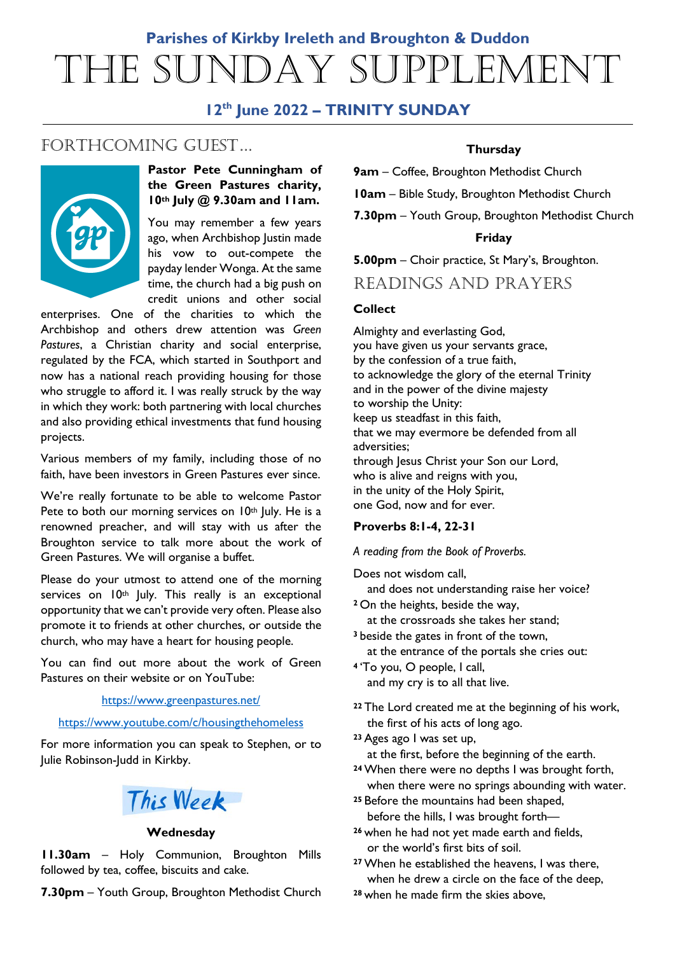# **Parishes of Kirkby Ireleth and Broughton & Duddon** The Sunday Supplement

# **12th June 2022 – TRINITY SUNDAY**

# FORTHCOMING GUEST...



# **Pastor Pete Cunningham of the Green Pastures charity, 10th July @ 9.30am and 11am.**

You may remember a few years ago, when Archbishop Justin made his vow to out-compete the payday lender Wonga. At the same time, the church had a big push on credit unions and other social

enterprises. One of the charities to which the Archbishop and others drew attention was *Green Pastures*, a Christian charity and social enterprise, regulated by the FCA, which started in Southport and now has a national reach providing housing for those who struggle to afford it. I was really struck by the way in which they work: both partnering with local churches and also providing ethical investments that fund housing projects.

Various members of my family, including those of no faith, have been investors in Green Pastures ever since.

We're really fortunate to be able to welcome Pastor Pete to both our morning services on 10<sup>th</sup> July. He is a renowned preacher, and will stay with us after the Broughton service to talk more about the work of Green Pastures. We will organise a buffet.

Please do your utmost to attend one of the morning services on 10<sup>th</sup> July. This really is an exceptional opportunity that we can't provide very often. Please also promote it to friends at other churches, or outside the church, who may have a heart for housing people.

You can find out more about the work of Green Pastures on their website or on YouTube:

#### <https://www.greenpastures.net/>

#### <https://www.youtube.com/c/housingthehomeless>

For more information you can speak to Stephen, or to Julie Robinson-Judd in Kirkby.



#### **Wednesday**

**11.30am** – Holy Communion, Broughton Mills followed by tea, coffee, biscuits and cake.

**7.30pm** – Youth Group, Broughton Methodist Church

# **Thursday**

**9am** – Coffee, Broughton Methodist Church

**10am** – Bible Study, Broughton Methodist Church

**7.30pm** – Youth Group, Broughton Methodist Church

#### **Friday**

**5.00pm** – Choir practice, St Mary's, Broughton.

# READINGS AND PRAYERS

#### **Collect**

Almighty and everlasting God, you have given us your servants grace, by the confession of a true faith, to acknowledge the glory of the eternal Trinity and in the power of the divine majesty to worship the Unity: keep us steadfast in this faith, that we may evermore be defended from all adversities; through Jesus Christ your Son our Lord, who is alive and reigns with you, in the unity of the Holy Spirit, one God, now and for ever.

#### **Proverbs 8:1-4, 22-31**

*A reading from the Book of Proverbs.*

Does not wisdom call,

and does not understanding raise her voice?

**<sup>2</sup>** On the heights, beside the way,

 at the crossroads she takes her stand; **<sup>3</sup>** beside the gates in front of the town,

- at the entrance of the portals she cries out:
- **<sup>4</sup>** 'To you, O people, I call, and my cry is to all that live.
- **<sup>22</sup>** The Lord created me at the beginning of his work, the first of his acts of long ago.
- **<sup>23</sup>** Ages ago I was set up, at the first, before the beginning of the earth.
- **<sup>24</sup>**When there were no depths I was brought forth, when there were no springs abounding with water.
- **<sup>25</sup>** Before the mountains had been shaped, before the hills, I was brought forth—
- **<sup>26</sup>** when he had not yet made earth and fields, or the world's first bits of soil.
- **<sup>27</sup>**When he established the heavens, I was there, when he drew a circle on the face of the deep,
- **<sup>28</sup>** when he made firm the skies above,